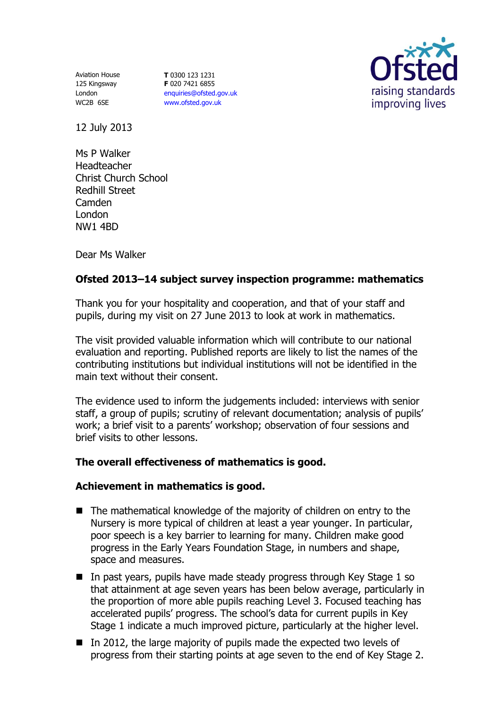Aviation House 125 Kingsway London WC2B 6SE

**T** 0300 123 1231 **F** 020 7421 6855 [enquiries@ofsted.gov.uk](mailto:enquiries@ofsted.gov.uk) [www.ofsted.gov.uk](http://www.ofsted.gov.uk/)



12 July 2013

Ms P Walker Headteacher Christ Church School Redhill Street Camden London NW1 4BD

Dear Ms Walker

# **Ofsted 2013–14 subject survey inspection programme: mathematics**

Thank you for your hospitality and cooperation, and that of your staff and pupils, during my visit on 27 June 2013 to look at work in mathematics.

The visit provided valuable information which will contribute to our national evaluation and reporting. Published reports are likely to list the names of the contributing institutions but individual institutions will not be identified in the main text without their consent.

The evidence used to inform the judgements included: interviews with senior staff, a group of pupils; scrutiny of relevant documentation; analysis of pupils' work; a brief visit to a parents' workshop; observation of four sessions and brief visits to other lessons.

### **The overall effectiveness of mathematics is good.**

### **Achievement in mathematics is good.**

- $\blacksquare$  The mathematical knowledge of the majority of children on entry to the Nursery is more typical of children at least a year younger. In particular, poor speech is a key barrier to learning for many. Children make good progress in the Early Years Foundation Stage, in numbers and shape, space and measures.
- $\blacksquare$  In past years, pupils have made steady progress through Key Stage 1 so that attainment at age seven years has been below average, particularly in the proportion of more able pupils reaching Level 3. Focused teaching has accelerated pupils' progress. The school's data for current pupils in Key Stage 1 indicate a much improved picture, particularly at the higher level.
- $\blacksquare$  In 2012, the large majority of pupils made the expected two levels of progress from their starting points at age seven to the end of Key Stage 2.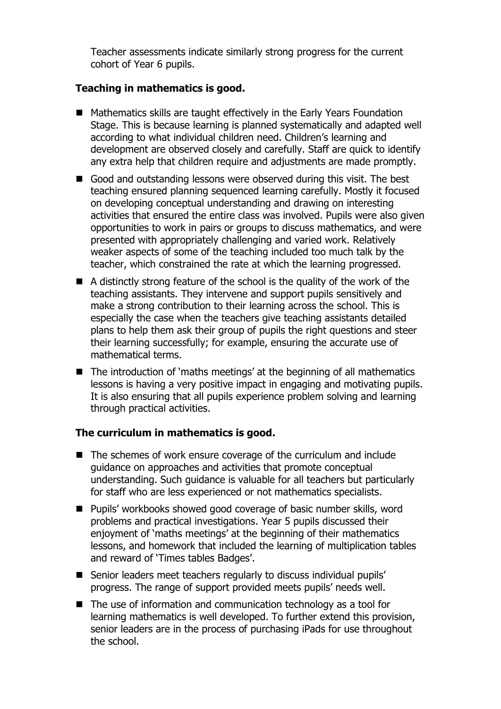Teacher assessments indicate similarly strong progress for the current cohort of Year 6 pupils.

# **Teaching in mathematics is good.**

- Mathematics skills are taught effectively in the Early Years Foundation Stage. This is because learning is planned systematically and adapted well according to what individual children need. Children's learning and development are observed closely and carefully. Staff are quick to identify any extra help that children require and adjustments are made promptly.
- Good and outstanding lessons were observed during this visit. The best teaching ensured planning sequenced learning carefully. Mostly it focused on developing conceptual understanding and drawing on interesting activities that ensured the entire class was involved. Pupils were also given opportunities to work in pairs or groups to discuss mathematics, and were presented with appropriately challenging and varied work. Relatively weaker aspects of some of the teaching included too much talk by the teacher, which constrained the rate at which the learning progressed.
- A distinctly strong feature of the school is the quality of the work of the teaching assistants. They intervene and support pupils sensitively and make a strong contribution to their learning across the school. This is especially the case when the teachers give teaching assistants detailed plans to help them ask their group of pupils the right questions and steer their learning successfully; for example, ensuring the accurate use of mathematical terms.
- The introduction of 'maths meetings' at the beginning of all mathematics lessons is having a very positive impact in engaging and motivating pupils. It is also ensuring that all pupils experience problem solving and learning through practical activities.

### **The curriculum in mathematics is good.**

- The schemes of work ensure coverage of the curriculum and include guidance on approaches and activities that promote conceptual understanding. Such guidance is valuable for all teachers but particularly for staff who are less experienced or not mathematics specialists.
- Pupils' workbooks showed good coverage of basic number skills, word problems and practical investigations. Year 5 pupils discussed their enjoyment of 'maths meetings' at the beginning of their mathematics lessons, and homework that included the learning of multiplication tables and reward of 'Times tables Badges'.
- Senior leaders meet teachers regularly to discuss individual pupils' progress. The range of support provided meets pupils' needs well.
- The use of information and communication technology as a tool for learning mathematics is well developed. To further extend this provision, senior leaders are in the process of purchasing iPads for use throughout the school.